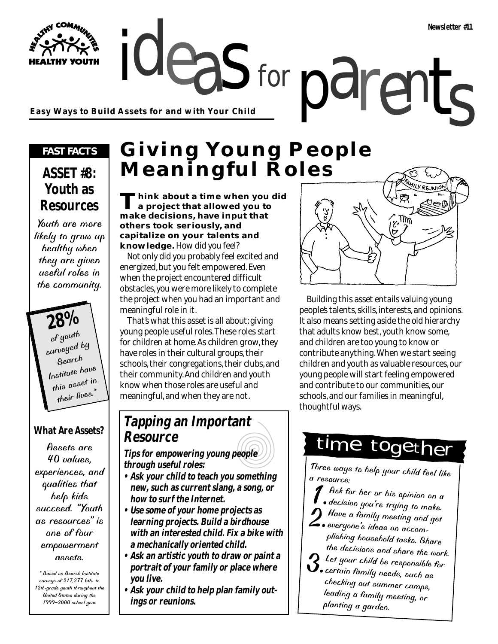ideas for parents **Easy Ways to Build Assets for and with Your Child**

#### *FAST FACTS*

#### **ASSET #8: Youth as Resources**

Youth are more likely to grow up healthy when they are given useful roles in the community.

> **28%** of youth surveyed by Search Institute have this asset in their lives.<sup>\*</sup>

#### **What Are Assets?**

Assets are 40 values, experiences, and qualities that help kids succeed. "Youth as resources" is one of four empowerment assets.

\* Based on Search Institute surveys of 217,277 6th- to 12th-grade youth throughout the United States during the 1999–2000 school year.

### **Giving Young People Meaningful Roles**

for

**Think about a time when you did a project that allowed you to make decisions, have input that others took seriously, and capitalize on your talents and knowledge.** How did you feel?

Not only did you probably feel excited and energized, but you felt empowered. Even when the project encountered difficult obstacles, you were more likely to complete the project when you had an important and meaningful role in it.

That's what this asset is all about: giving young people useful roles. These roles start for children at home. As children grow, they have roles in their cultural groups, their schools, their congregations, their clubs, and their community. And children and youth know when those roles are useful and meaningful, and when they are not.

#### **Tapping an Important Resource**

**Tips for empowering young people through useful roles:**

- **Ask your child to teach you something new, such as current slang, a song, or how to surf the Internet.**
- **Use some of your home projects as learning projects. Build a birdhouse with an interested child. Fix a bike with a mechanically oriented child.**
- **Ask an artistic youth to draw or paint a portrait of your family or place where you live.**
- **Ask your child to help plan family outings or reunions.**

# time together

thoughtful ways.

Building this asset entails valuing young people's talents, skills, interests, and opinions. It also means setting aside the old hierarchy that adults know best, youth know some, and children are too young to know or contribute anything. When we start seeing children and youth as valuable resources, our young people will start feeling empowered and contribute to our communities, our schools, and our families in meaningful,

Three ways to help your child feel like a resource:

- $^{\prime}$  Ask for her or his opinion on a
- decision you're trying to make.
- **4** Have a family meeting and get everyone's ideas on accom
	- <sup>p</sup>lishing household tasks. Share the decisions and share the work.
- 3.Let your child be responsible for
- $\mathbf 0$ . certain family needs, such as checking out summer camps, leading a family meeting, or <sup>p</sup>lanting a garden.